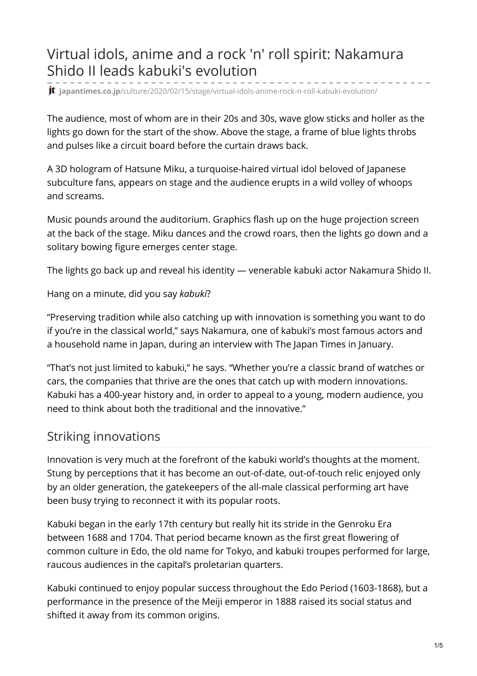## Virtual idols, anime and a rock 'n' roll spirit: Nakamura Shido II leads kabuki's evolution

**jt** japantimes.co.jp[/culture/2020/02/15/stage/virtual-idols-anime-rock-n-roll-kabuki-evolution/](https://www.japantimes.co.jp/culture/2020/02/15/stage/virtual-idols-anime-rock-n-roll-kabuki-evolution/)

The audience, most of whom are in their 20s and 30s, wave glow sticks and holler as the lights go down for the start of the show. Above the stage, a frame of blue lights throbs and pulses like a circuit board before the curtain draws back.

A 3D hologram of Hatsune Miku, a turquoise-haired virtual idol beloved of Japanese subculture fans, appears on stage and the audience erupts in a wild volley of whoops and screams.

Music pounds around the auditorium. Graphics flash up on the huge projection screen at the back of the stage. Miku dances and the crowd roars, then the lights go down and a solitary bowing figure emerges center stage.

The lights go back up and reveal his identity — venerable kabuki actor Nakamura Shido II.

Hang on a minute, did you say *kabuki*?

"Preserving tradition while also catching up with innovation is something you want to do if you're in the classical world," says Nakamura, one of kabuki's most famous actors and a household name in Japan, during an interview with The Japan Times in January.

"That's not just limited to kabuki," he says. "Whether you're a classic brand of watches or cars, the companies that thrive are the ones that catch up with modern innovations. Kabuki has a 400-year history and, in order to appeal to a young, modern audience, you need to think about both the traditional and the innovative."

## Striking innovations

Innovation is very much at the forefront of the kabuki world's thoughts at the moment. Stung by perceptions that it has become an out-of-date, out-of-touch relic enjoyed only by an older generation, the gatekeepers of the all-male classical performing art have been busy trying to reconnect it with its popular roots.

Kabuki began in the early 17th century but really hit its stride in the Genroku Era between 1688 and 1704. That period became known as the first great flowering of common culture in Edo, the old name for Tokyo, and kabuki troupes performed for large, raucous audiences in the capital's proletarian quarters.

Kabuki continued to enjoy popular success throughout the Edo Period (1603-1868), but a performance in the presence of the Meiji emperor in 1888 raised its social status and shifted it away from its common origins.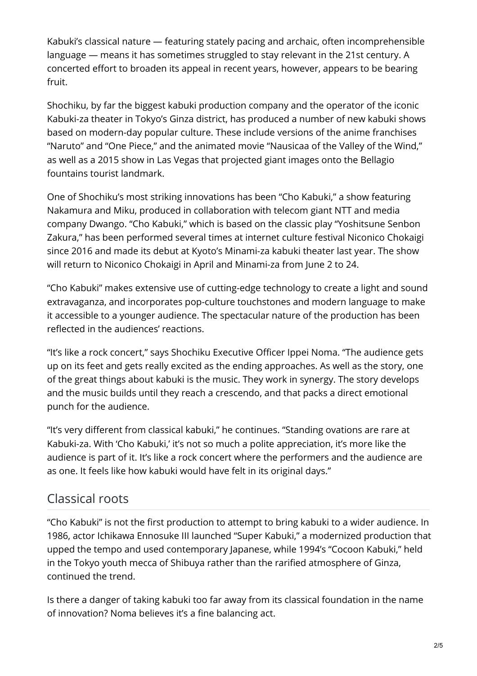Kabuki's classical nature — featuring stately pacing and archaic, often incomprehensible language — means it has sometimes struggled to stay relevant in the 21st century. A concerted effort to broaden its appeal in recent years, however, appears to be bearing fruit.

Shochiku, by far the biggest kabuki production company and the operator of the iconic Kabuki-za theater in Tokyo's Ginza district, has produced a number of new kabuki shows based on modern-day popular culture. These include versions of the anime franchises "Naruto" and "One Piece," and the animated movie "Nausicaa of the Valley of the Wind," as well as a 2015 show in Las Vegas that projected giant images onto the Bellagio fountains tourist landmark.

One of Shochiku's most striking innovations has been "Cho Kabuki," a show featuring Nakamura and Miku, produced in collaboration with telecom giant NTT and media company Dwango. "Cho Kabuki," which is based on the classic play "Yoshitsune Senbon Zakura," has been performed several times at internet culture festival Niconico Chokaigi since 2016 and made its debut at Kyoto's Minami-za kabuki theater last year. The show will return to Niconico Chokaigi in April and Minami-za from June 2 to 24.

"Cho Kabuki" makes extensive use of cutting-edge technology to create a light and sound extravaganza, and incorporates pop-culture touchstones and modern language to make it accessible to a younger audience. The spectacular nature of the production has been reflected in the audiences' reactions.

"It's like a rock concert," says Shochiku Executive Officer Ippei Noma. "The audience gets up on its feet and gets really excited as the ending approaches. As well as the story, one of the great things about kabuki is the music. They work in synergy. The story develops and the music builds until they reach a crescendo, and that packs a direct emotional punch for the audience.

"It's very different from classical kabuki," he continues. "Standing ovations are rare at Kabuki-za. With 'Cho Kabuki,' it's not so much a polite appreciation, it's more like the audience is part of it. It's like a rock concert where the performers and the audience are as one. It feels like how kabuki would have felt in its original days."

## Classical roots

"Cho Kabuki" is not the first production to attempt to bring kabuki to a wider audience. In 1986, actor Ichikawa Ennosuke III launched "Super Kabuki," a modernized production that upped the tempo and used contemporary Japanese, while 1994's "Cocoon Kabuki," held in the Tokyo youth mecca of Shibuya rather than the rarified atmosphere of Ginza, continued the trend.

Is there a danger of taking kabuki too far away from its classical foundation in the name of innovation? Noma believes it's a fine balancing act.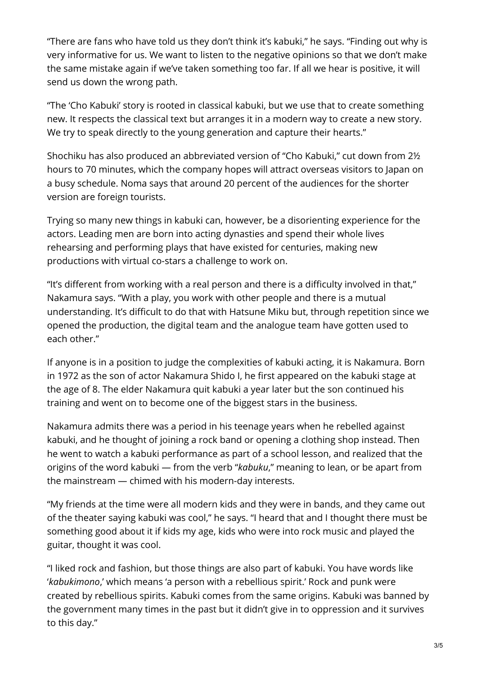"There are fans who have told us they don't think it's kabuki," he says. "Finding out why is very informative for us. We want to listen to the negative opinions so that we don't make the same mistake again if we've taken something too far. If all we hear is positive, it will send us down the wrong path.

"The 'Cho Kabuki' story is rooted in classical kabuki, but we use that to create something new. It respects the classical text but arranges it in a modern way to create a new story. We try to speak directly to the young generation and capture their hearts."

Shochiku has also produced an abbreviated version of "Cho Kabuki," cut down from 2½ hours to 70 minutes, which the company hopes will attract overseas visitors to Japan on a busy schedule. Noma says that around 20 percent of the audiences for the shorter version are foreign tourists.

Trying so many new things in kabuki can, however, be a disorienting experience for the actors. Leading men are born into acting dynasties and spend their whole lives rehearsing and performing plays that have existed for centuries, making new productions with virtual co-stars a challenge to work on.

"It's different from working with a real person and there is a difficulty involved in that," Nakamura says. "With a play, you work with other people and there is a mutual understanding. It's difficult to do that with Hatsune Miku but, through repetition since we opened the production, the digital team and the analogue team have gotten used to each other."

If anyone is in a position to judge the complexities of kabuki acting, it is Nakamura. Born in 1972 as the son of actor Nakamura Shido I, he first appeared on the kabuki stage at the age of 8. The elder Nakamura quit kabuki a year later but the son continued his training and went on to become one of the biggest stars in the business.

Nakamura admits there was a period in his teenage years when he rebelled against kabuki, and he thought of joining a rock band or opening a clothing shop instead. Then he went to watch a kabuki performance as part of a school lesson, and realized that the origins of the word kabuki — from the verb "*kabuku*," meaning to lean, or be apart from the mainstream — chimed with his modern-day interests.

"My friends at the time were all modern kids and they were in bands, and they came out of the theater saying kabuki was cool," he says. "I heard that and I thought there must be something good about it if kids my age, kids who were into rock music and played the guitar, thought it was cool.

"I liked rock and fashion, but those things are also part of kabuki. You have words like '*kabukimono*,' which means 'a person with a rebellious spirit.' Rock and punk were created by rebellious spirits. Kabuki comes from the same origins. Kabuki was banned by the government many times in the past but it didn't give in to oppression and it survives to this day."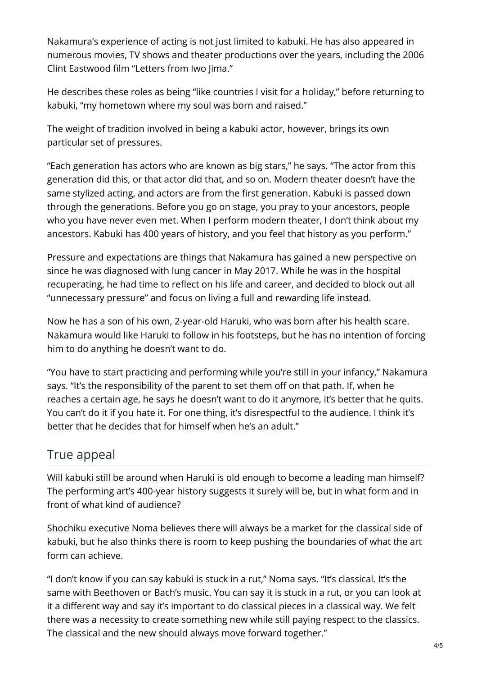Nakamura's experience of acting is not just limited to kabuki. He has also appeared in numerous movies, TV shows and theater productions over the years, including the 2006 Clint Eastwood film "Letters from Iwo Jima."

He describes these roles as being "like countries I visit for a holiday," before returning to kabuki, "my hometown where my soul was born and raised."

The weight of tradition involved in being a kabuki actor, however, brings its own particular set of pressures.

"Each generation has actors who are known as big stars," he says. "The actor from this generation did this, or that actor did that, and so on. Modern theater doesn't have the same stylized acting, and actors are from the first generation. Kabuki is passed down through the generations. Before you go on stage, you pray to your ancestors, people who you have never even met. When I perform modern theater, I don't think about my ancestors. Kabuki has 400 years of history, and you feel that history as you perform."

Pressure and expectations are things that Nakamura has gained a new perspective on since he was diagnosed with lung cancer in May 2017. While he was in the hospital recuperating, he had time to reflect on his life and career, and decided to block out all "unnecessary pressure" and focus on living a full and rewarding life instead.

Now he has a son of his own, 2-year-old Haruki, who was born after his health scare. Nakamura would like Haruki to follow in his footsteps, but he has no intention of forcing him to do anything he doesn't want to do.

"You have to start practicing and performing while you're still in your infancy," Nakamura says. "It's the responsibility of the parent to set them off on that path. If, when he reaches a certain age, he says he doesn't want to do it anymore, it's better that he quits. You can't do it if you hate it. For one thing, it's disrespectful to the audience. I think it's better that he decides that for himself when he's an adult."

## True appeal

Will kabuki still be around when Haruki is old enough to become a leading man himself? The performing art's 400-year history suggests it surely will be, but in what form and in front of what kind of audience?

Shochiku executive Noma believes there will always be a market for the classical side of kabuki, but he also thinks there is room to keep pushing the boundaries of what the art form can achieve.

"I don't know if you can say kabuki is stuck in a rut," Noma says. "It's classical. It's the same with Beethoven or Bach's music. You can say it is stuck in a rut, or you can look at it a different way and say it's important to do classical pieces in a classical way. We felt there was a necessity to create something new while still paying respect to the classics. The classical and the new should always move forward together."